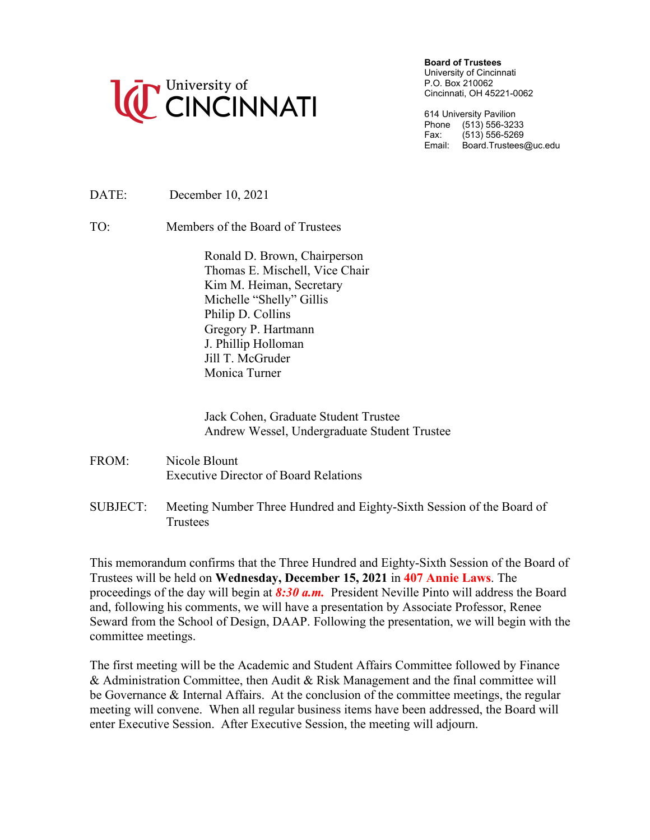

**Board of Trustees**

University of Cincinnati P.O. Box 210062 Cincinnati, OH 45221-0062

614 University Pavilion Phone (513) 556-3233<br>Fax: (513) 556-5269  $(513) 556 - 5269$ Email: Board.Trustees@uc.edu

DATE: December 10, 2021

TO: Members of the Board of Trustees

Ronald D. Brown, Chairperson Thomas E. Mischell, Vice Chair Kim M. Heiman, Secretary Michelle "Shelly" Gillis Philip D. Collins Gregory P. Hartmann J. Phillip Holloman Jill T. McGruder Monica Turner

Jack Cohen, Graduate Student Trustee Andrew Wessel, Undergraduate Student Trustee

- FROM: Nicole Blount Executive Director of Board Relations
- SUBJECT: Meeting Number Three Hundred and Eighty-Sixth Session of the Board of **Trustees**

This memorandum confirms that the Three Hundred and Eighty-Sixth Session of the Board of Trustees will be held on **Wednesday, December 15, 2021** in **407 Annie Laws**. The proceedings of the day will begin at *8:30 a.m.* President Neville Pinto will address the Board and, following his comments, we will have a presentation by Associate Professor, Renee Seward from the School of Design, DAAP. Following the presentation, we will begin with the committee meetings.

The first meeting will be the Academic and Student Affairs Committee followed by Finance & Administration Committee, then Audit & Risk Management and the final committee will be Governance & Internal Affairs. At the conclusion of the committee meetings, the regular meeting will convene. When all regular business items have been addressed, the Board will enter Executive Session. After Executive Session, the meeting will adjourn.